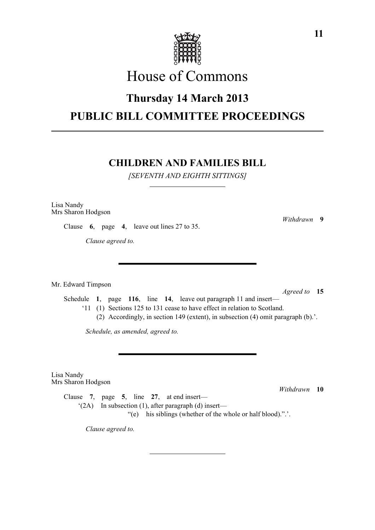

# House of Commons

## **Thursday 14 March 2013 PUBLIC BILL COMMITTEE PROCEEDINGS**

### **CHILDREN AND FAMILIES BILL**

*[SEVENTH AND EIGHTH SITTINGS]*

Lisa Nandy Mrs Sharon Hodgson

Clause **6**, page **4**, leave out lines 27 to 35.

*Clause agreed to.*

Mr. Edward Timpson

*Agreed to* **15** Schedule **1**, page **116**, line **14**, leave out paragraph 11 and insert— '11 (1) Sections 125 to 131 cease to have effect in relation to Scotland. (2) Accordingly, in section 149 (extent), in subsection (4) omit paragraph (b).'.

*Schedule, as amended, agreed to.*

Lisa Nandy Mrs Sharon Hodgson

*Withdrawn* **10**

Clause **7**, page **5**, line **27**, at end insert—  $(2A)$  In subsection (1), after paragraph (d) insert— "(e) his siblings (whether of the whole or half blood).".'.

*Clause agreed to.*

*Withdrawn* **9**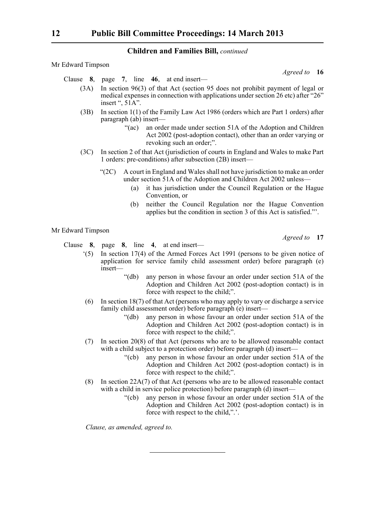| Mr Edward Timpson |                                                                                                                                                                                        |
|-------------------|----------------------------------------------------------------------------------------------------------------------------------------------------------------------------------------|
|                   | Agreed to 16                                                                                                                                                                           |
|                   | Clause $8$ , page $7$ , line $46$ , at end insert—                                                                                                                                     |
| (3A)              | In section 96(3) of that Act (section 95 does not prohibit payment of legal or<br>medical expenses in connection with applications under section 26 etc) after "26"<br>insert ", 51A". |
| (3B)              | In section $1(1)$ of the Family Law Act 1986 (orders which are Part 1 orders) after<br>$\frac{1}{2}$ paragraph (ab) insert—                                                            |
|                   | an order made under section 51A of the Adoption and Children<br>" $(ac)$<br>Act 2002 (post-adoption contact), other than an order varying or<br>revoking such an order;".              |
| (3C)              | In section 2 of that Act (jurisdiction of courts in England and Wales to make Part<br>1 orders: pre-conditions) after subsection (2B) insert—                                          |
|                   | A court in England and Wales shall not have jurisdiction to make an order<br>" $(2C)$<br>under section 51A of the Adoption and Children Act 2002 unless-                               |
|                   | it has jurisdiction under the Council Regulation or the Hague<br>(a)<br>Convention, or                                                                                                 |
|                   | neither the Council Regulation nor the Hague Convention<br>(b)<br>applies but the condition in section 3 of this Act is satisfied."                                                    |
| Mr Edward Timpson |                                                                                                                                                                                        |
|                   | Agreed to 17                                                                                                                                                                           |
|                   | Clause $8$ , page $8$ , line $4$ , at end insert—                                                                                                                                      |
| (5)               | In section $17(4)$ of the Armed Forces Act 1991 (persons to be given notice of<br>application for service family child assessment order) before paragraph (e)<br>insert-               |
|                   | "(db) any person in whose favour an order under section $51\text{A}$ of the                                                                                                            |

- "(db) any person in whose favour an order under section 51A of the Adoption and Children Act 2002 (post-adoption contact) is in force with respect to the child;".
- (6) In section 18(7) of that Act (persons who may apply to vary or discharge a service family child assessment order) before paragraph (e) insert—
	- "(db) any person in whose favour an order under section 51A of the Adoption and Children Act 2002 (post-adoption contact) is in force with respect to the child;".
- (7) In section 20(8) of that Act (persons who are to be allowed reasonable contact with a child subject to a protection order) before paragraph (d) insert—
	- "(cb) any person in whose favour an order under section 51A of the Adoption and Children Act 2002 (post-adoption contact) is in force with respect to the child;".
- (8) In section 22A(7) of that Act (persons who are to be allowed reasonable contact with a child in service police protection) before paragraph (d) insert—
	- "(cb) any person in whose favour an order under section 51A of the Adoption and Children Act 2002 (post-adoption contact) is in force with respect to the child,".'.

*Clause, as amended, agreed to.*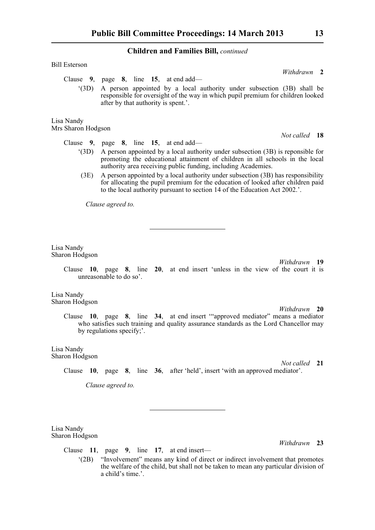| <b>Bill Esterson</b>                                                                                                                                                                                                                     |                                                                                                                                                                                                  |               |  |
|------------------------------------------------------------------------------------------------------------------------------------------------------------------------------------------------------------------------------------------|--------------------------------------------------------------------------------------------------------------------------------------------------------------------------------------------------|---------------|--|
|                                                                                                                                                                                                                                          |                                                                                                                                                                                                  | Withdrawn 2   |  |
|                                                                                                                                                                                                                                          | Clause 9, page 8, line 15, at end add—                                                                                                                                                           |               |  |
| (3D)                                                                                                                                                                                                                                     | A person appointed by a local authority under subsection (3B) shall be<br>responsible for oversight of the way in which pupil premium for children looked<br>after by that authority is spent.'. |               |  |
| Lisa Nandy<br>Mrs Sharon Hodgson                                                                                                                                                                                                         |                                                                                                                                                                                                  |               |  |
|                                                                                                                                                                                                                                          |                                                                                                                                                                                                  | Not called 18 |  |
|                                                                                                                                                                                                                                          | Clause $9$ , page $8$ , line 15, at end add—                                                                                                                                                     |               |  |
| A person appointed by a local authority under subsection (3B) is reponsible for<br>(3D)<br>promoting the educational attainment of children in all schools in the local<br>authority area receiving public funding, including Academies. |                                                                                                                                                                                                  |               |  |

(3E) A person appointed by a local authority under subsection (3B) has responsibility for allocating the pupil premium for the education of looked after children paid to the local authority pursuant to section 14 of the Education Act 2002.'.

*Clause agreed to.*

Lisa Nandy Sharon Hodgson

*Withdrawn* **19**

Clause **10**, page **8**, line **20**, at end insert 'unless in the view of the court it is unreasonable to do so'.

Lisa Nandy Sharon Hodgson

> *Withdrawn* **20** Clause **10**, page **8**, line **34**, at end insert '"approved mediator" means a mediator who satisfies such training and quality assurance standards as the Lord Chancellor may by regulations specify;'.

Lisa Nandy Sharon Hodgson

*Not called* **21** Clause **10**, page **8**, line **36**, after 'held', insert 'with an approved mediator'.

*Clause agreed to.*

Lisa Nandy Sharon Hodgson

*Withdrawn* **23**

- Clause **11**, page **9**, line **17**, at end insert—
	- '(2B) "Involvement" means any kind of direct or indirect involvement that promotes the welfare of the child, but shall not be taken to mean any particular division of a child's time.'.

*Not called* **18**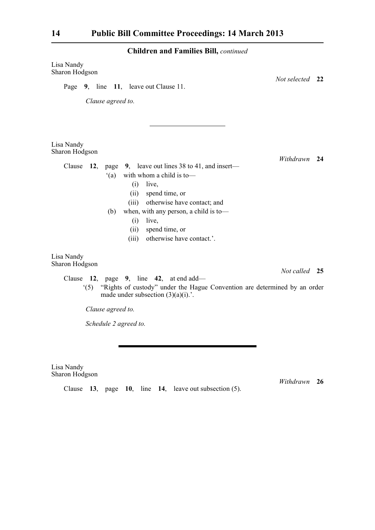| Lisa Nandy<br>Sharon Hodgson                                                                                                                                                                                                                                                                                        |                 |    |
|---------------------------------------------------------------------------------------------------------------------------------------------------------------------------------------------------------------------------------------------------------------------------------------------------------------------|-----------------|----|
| Page 9, line 11, leave out Clause 11.                                                                                                                                                                                                                                                                               | Not selected 22 |    |
| Clause agreed to.                                                                                                                                                                                                                                                                                                   |                 |    |
| Lisa Nandy<br>Sharon Hodgson                                                                                                                                                                                                                                                                                        |                 |    |
| Clause<br>page 9, leave out lines 38 to 41, and insert—<br>12,<br>with whom a child is to-<br>(a)<br>(i)<br>live,<br>spend time, or<br>(ii)<br>otherwise have contact; and<br>(iii)<br>when, with any person, a child is to-<br>(b)<br>(i)<br>live,<br>spend time, or<br>(ii)<br>otherwise have contact.'.<br>(iii) | Withdrawn       | 24 |
| Lisa Nandy<br>Sharon Hodgson                                                                                                                                                                                                                                                                                        |                 |    |
| Clause $12$ , page 9, line $42$ , at end add—                                                                                                                                                                                                                                                                       | Not called 25   |    |
| "(5) "Rights of custody" under the Hague Convention are determined by an order<br>made under subsection $(3)(a)(i)$ .                                                                                                                                                                                               |                 |    |
| Clause agreed to.                                                                                                                                                                                                                                                                                                   |                 |    |
| Schedule 2 agreed to.                                                                                                                                                                                                                                                                                               |                 |    |

Lisa Nandy Sharon Hodgson

*Withdrawn* **26**

Clause **13**, page **10**, line **14**, leave out subsection (5).